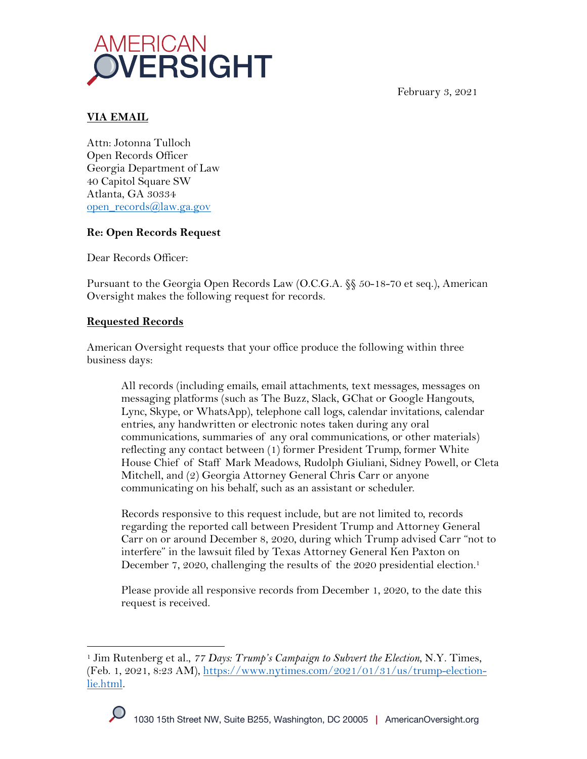



### **VIA EMAIL**

Attn: Jotonna Tulloch Open Records Officer Georgia Department of Law 40 Capitol Square SW Atlanta, GA 30334 open\_records@law.ga.gov

# **Re: Open Records Request**

Dear Records Officer:

Pursuant to the Georgia Open Records Law (O.C.G.A. §§ 50-18-70 et seq.), American Oversight makes the following request for records.

### **Requested Records**

American Oversight requests that your office produce the following within three business days:

All records (including emails, email attachments, text messages, messages on messaging platforms (such as The Buzz, Slack, GChat or Google Hangouts, Lync, Skype, or WhatsApp), telephone call logs, calendar invitations, calendar entries, any handwritten or electronic notes taken during any oral communications, summaries of any oral communications, or other materials) reflecting any contact between (1) former President Trump, former White House Chief of Staff Mark Meadows, Rudolph Giuliani, Sidney Powell, or Cleta Mitchell, and (2) Georgia Attorney General Chris Carr or anyone communicating on his behalf, such as an assistant or scheduler.

Records responsive to this request include, but are not limited to, records regarding the reported call between President Trump and Attorney General Carr on or around December 8, 2020, during which Trump advised Carr "not to interfere" in the lawsuit filed by Texas Attorney General Ken Paxton on December 7, 2020, challenging the results of the 2020 presidential election.<sup>1</sup>

Please provide all responsive records from December 1, 2020, to the date this request is received.

<sup>1</sup> Jim Rutenberg et al., *77 Days: Trump's Campaign to Subvert the Election*, N.Y. Times, (Feb. 1, 2021, 8:23 AM), https://www.nytimes.com/2021/01/31/us/trump-electionlie.html.

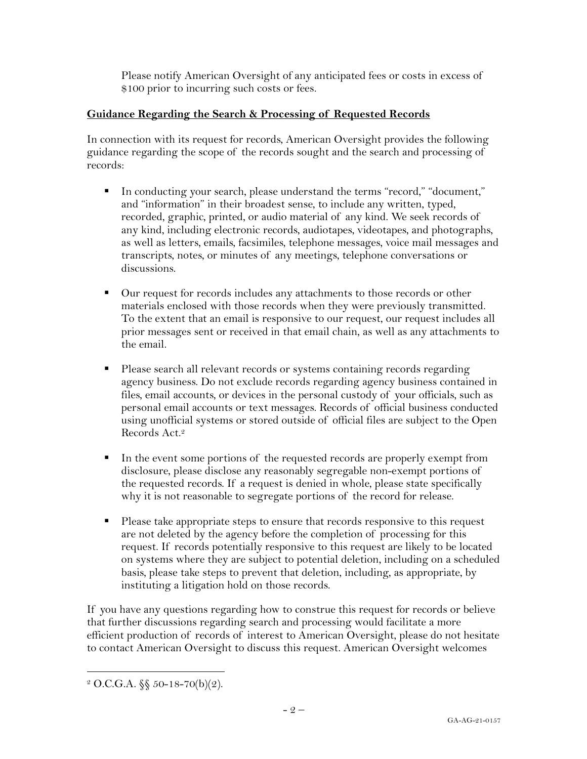Please notify American Oversight of any anticipated fees or costs in excess of \$100 prior to incurring such costs or fees.

# **Guidance Regarding the Search & Processing of Requested Records**

In connection with its request for records, American Oversight provides the following guidance regarding the scope of the records sought and the search and processing of records:

- § In conducting your search, please understand the terms "record," "document," and "information" in their broadest sense, to include any written, typed, recorded, graphic, printed, or audio material of any kind. We seek records of any kind, including electronic records, audiotapes, videotapes, and photographs, as well as letters, emails, facsimiles, telephone messages, voice mail messages and transcripts, notes, or minutes of any meetings, telephone conversations or discussions.
- Our request for records includes any attachments to those records or other materials enclosed with those records when they were previously transmitted. To the extent that an email is responsive to our request, our request includes all prior messages sent or received in that email chain, as well as any attachments to the email.
- § Please search all relevant records or systems containing records regarding agency business. Do not exclude records regarding agency business contained in files, email accounts, or devices in the personal custody of your officials, such as personal email accounts or text messages. Records of official business conducted using unofficial systems or stored outside of official files are subject to the Open Records Act. 2
- In the event some portions of the requested records are properly exempt from disclosure, please disclose any reasonably segregable non-exempt portions of the requested records. If a request is denied in whole, please state specifically why it is not reasonable to segregate portions of the record for release.
- Please take appropriate steps to ensure that records responsive to this request are not deleted by the agency before the completion of processing for this request. If records potentially responsive to this request are likely to be located on systems where they are subject to potential deletion, including on a scheduled basis, please take steps to prevent that deletion, including, as appropriate, by instituting a litigation hold on those records.

If you have any questions regarding how to construe this request for records or believe that further discussions regarding search and processing would facilitate a more efficient production of records of interest to American Oversight, please do not hesitate to contact American Oversight to discuss this request. American Oversight welcomes

 $2$  O.C.G.A. §§ 50-18-70(b)(2).